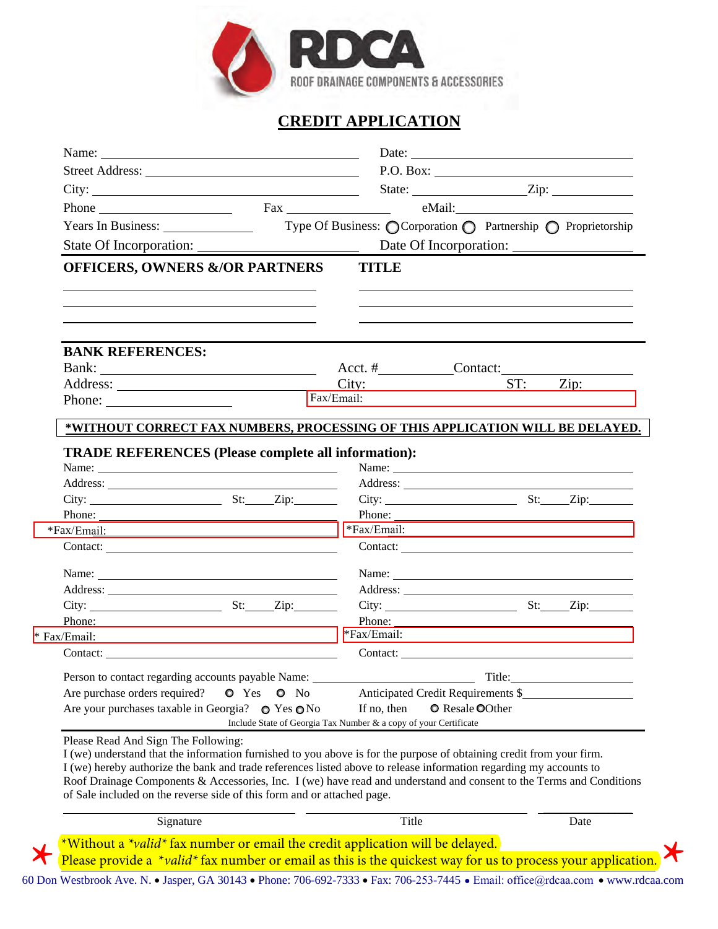

## **CREDIT APPLICATION**

|                                                                                                                                                                                                                                            |         |    |                                                                                                                                                                                                                               |                                                                                                                                                                                                                                                                                                                                                                                                              |     | P.O. Box:                                                                                                                                                                                                                      |
|--------------------------------------------------------------------------------------------------------------------------------------------------------------------------------------------------------------------------------------------|---------|----|-------------------------------------------------------------------------------------------------------------------------------------------------------------------------------------------------------------------------------|--------------------------------------------------------------------------------------------------------------------------------------------------------------------------------------------------------------------------------------------------------------------------------------------------------------------------------------------------------------------------------------------------------------|-----|--------------------------------------------------------------------------------------------------------------------------------------------------------------------------------------------------------------------------------|
| City:                                                                                                                                                                                                                                      |         |    |                                                                                                                                                                                                                               |                                                                                                                                                                                                                                                                                                                                                                                                              |     | State: <u>Zip:</u>                                                                                                                                                                                                             |
| Phone                                                                                                                                                                                                                                      |         |    | Fax Particular Contract Contract Contract Contract Contract Contract Contract Contract Contract Contract Contract Contract Contract Contract Contract Contract Contract Contract Contract Contract Contract Contract Contract |                                                                                                                                                                                                                                                                                                                                                                                                              |     |                                                                                                                                                                                                                                |
| Years In Business:                                                                                                                                                                                                                         |         |    | Type Of Business: O Corporation O Partnership O Proprietorship                                                                                                                                                                |                                                                                                                                                                                                                                                                                                                                                                                                              |     |                                                                                                                                                                                                                                |
| State Of Incorporation:                                                                                                                                                                                                                    |         |    |                                                                                                                                                                                                                               |                                                                                                                                                                                                                                                                                                                                                                                                              |     |                                                                                                                                                                                                                                |
| <b>OFFICERS, OWNERS &amp;/OR PARTNERS</b>                                                                                                                                                                                                  |         |    | <b>TITLE</b>                                                                                                                                                                                                                  |                                                                                                                                                                                                                                                                                                                                                                                                              |     |                                                                                                                                                                                                                                |
|                                                                                                                                                                                                                                            |         |    |                                                                                                                                                                                                                               |                                                                                                                                                                                                                                                                                                                                                                                                              |     |                                                                                                                                                                                                                                |
|                                                                                                                                                                                                                                            |         |    |                                                                                                                                                                                                                               |                                                                                                                                                                                                                                                                                                                                                                                                              |     |                                                                                                                                                                                                                                |
| <b>BANK REFERENCES:</b>                                                                                                                                                                                                                    |         |    |                                                                                                                                                                                                                               |                                                                                                                                                                                                                                                                                                                                                                                                              |     |                                                                                                                                                                                                                                |
|                                                                                                                                                                                                                                            |         |    | Acct. # Contact:                                                                                                                                                                                                              |                                                                                                                                                                                                                                                                                                                                                                                                              |     |                                                                                                                                                                                                                                |
|                                                                                                                                                                                                                                            |         |    | City:                                                                                                                                                                                                                         |                                                                                                                                                                                                                                                                                                                                                                                                              | ST: | Zip:                                                                                                                                                                                                                           |
| Phone: $\qquad \qquad$                                                                                                                                                                                                                     |         |    | Fax/Email:                                                                                                                                                                                                                    |                                                                                                                                                                                                                                                                                                                                                                                                              |     |                                                                                                                                                                                                                                |
| *WITHOUT CORRECT FAX NUMBERS, PROCESSING OF THIS APPLICATION WILL BE DELAYED.                                                                                                                                                              |         |    |                                                                                                                                                                                                                               |                                                                                                                                                                                                                                                                                                                                                                                                              |     |                                                                                                                                                                                                                                |
| <b>TRADE REFERENCES (Please complete all information):</b>                                                                                                                                                                                 |         |    |                                                                                                                                                                                                                               |                                                                                                                                                                                                                                                                                                                                                                                                              |     |                                                                                                                                                                                                                                |
| Name:                                                                                                                                                                                                                                      |         |    |                                                                                                                                                                                                                               |                                                                                                                                                                                                                                                                                                                                                                                                              |     | Name:                                                                                                                                                                                                                          |
|                                                                                                                                                                                                                                            |         |    |                                                                                                                                                                                                                               |                                                                                                                                                                                                                                                                                                                                                                                                              |     |                                                                                                                                                                                                                                |
| $City:$ St: $Zip:$                                                                                                                                                                                                                         |         |    |                                                                                                                                                                                                                               |                                                                                                                                                                                                                                                                                                                                                                                                              |     | City: <u>City:</u> St: Zip:                                                                                                                                                                                                    |
| Phone:                                                                                                                                                                                                                                     |         |    |                                                                                                                                                                                                                               | Phone: $\frac{1}{\sqrt{1-\frac{1}{2}}\sqrt{1-\frac{1}{2}}\sqrt{1-\frac{1}{2}}\sqrt{1-\frac{1}{2}}\sqrt{1-\frac{1}{2}}\sqrt{1-\frac{1}{2}}\sqrt{1-\frac{1}{2}}\sqrt{1-\frac{1}{2}}\sqrt{1-\frac{1}{2}}\sqrt{1-\frac{1}{2}}\sqrt{1-\frac{1}{2}}\sqrt{1-\frac{1}{2}}\sqrt{1-\frac{1}{2}}\sqrt{1-\frac{1}{2}}\sqrt{1-\frac{1}{2}}\sqrt{1-\frac{1}{2}}\sqrt{1-\frac{1}{2}}\sqrt{1-\frac{1}{2}}\sqrt{1-\frac{1}{2$ |     |                                                                                                                                                                                                                                |
|                                                                                                                                                                                                                                            |         |    | *Fax/Email:                                                                                                                                                                                                                   |                                                                                                                                                                                                                                                                                                                                                                                                              |     |                                                                                                                                                                                                                                |
|                                                                                                                                                                                                                                            |         |    |                                                                                                                                                                                                                               |                                                                                                                                                                                                                                                                                                                                                                                                              |     |                                                                                                                                                                                                                                |
| Name: 2008. [2016] Name: 2008. [2016] Name: 2008. [2016] 2016. [2016] 2016. [2016] 2016. [2016] 2016. [2016] 2016. [2016] 2016. [2016] 2016. [2016] 2016. [2016] 2016. [2016] 2016. [2016] 2016. [2016] 2016. [2016] 2016. [20             |         |    |                                                                                                                                                                                                                               |                                                                                                                                                                                                                                                                                                                                                                                                              |     | Name: Name and the set of the set of the set of the set of the set of the set of the set of the set of the set of the set of the set of the set of the set of the set of the set of the set of the set of the set of the set o |
|                                                                                                                                                                                                                                            |         |    |                                                                                                                                                                                                                               |                                                                                                                                                                                                                                                                                                                                                                                                              |     |                                                                                                                                                                                                                                |
| $City:$ St: Zip:                                                                                                                                                                                                                           |         |    |                                                                                                                                                                                                                               |                                                                                                                                                                                                                                                                                                                                                                                                              |     | $City:$ St: Zip:                                                                                                                                                                                                               |
| Phone:                                                                                                                                                                                                                                     |         |    | Phone:<br>*Fax/Email:                                                                                                                                                                                                         |                                                                                                                                                                                                                                                                                                                                                                                                              |     |                                                                                                                                                                                                                                |
| $*$ Fax/Email:                                                                                                                                                                                                                             |         |    |                                                                                                                                                                                                                               |                                                                                                                                                                                                                                                                                                                                                                                                              |     |                                                                                                                                                                                                                                |
|                                                                                                                                                                                                                                            |         |    |                                                                                                                                                                                                                               |                                                                                                                                                                                                                                                                                                                                                                                                              |     |                                                                                                                                                                                                                                |
| Person to contact regarding accounts payable Name:                                                                                                                                                                                         |         |    |                                                                                                                                                                                                                               | Title:                                                                                                                                                                                                                                                                                                                                                                                                       |     |                                                                                                                                                                                                                                |
| Are purchase orders required?                                                                                                                                                                                                              | O Yes O | No |                                                                                                                                                                                                                               | Anticipated Credit Requirements \$                                                                                                                                                                                                                                                                                                                                                                           |     |                                                                                                                                                                                                                                |
| Are your purchases taxable in Georgia? $\bullet$ Yes $\bullet$ No                                                                                                                                                                          |         |    | If no, then<br>Include State of Georgia Tax Number & a copy of your Certificate                                                                                                                                               | <b>O</b> Resale OOther                                                                                                                                                                                                                                                                                                                                                                                       |     |                                                                                                                                                                                                                                |
| Please Read And Sign The Following:                                                                                                                                                                                                        |         |    |                                                                                                                                                                                                                               |                                                                                                                                                                                                                                                                                                                                                                                                              |     |                                                                                                                                                                                                                                |
| I (we) understand that the information furnished to you above is for the purpose of obtaining credit from your firm.<br>I (we) hereby authorize the bank and trade references listed above to release information regarding my accounts to |         |    |                                                                                                                                                                                                                               |                                                                                                                                                                                                                                                                                                                                                                                                              |     |                                                                                                                                                                                                                                |
| Roof Drainage Components & Accessories, Inc. I (we) have read and understand and consent to the Terms and Conditions<br>of Sale included on the reverse side of this form and or attached page.                                            |         |    |                                                                                                                                                                                                                               |                                                                                                                                                                                                                                                                                                                                                                                                              |     |                                                                                                                                                                                                                                |
| Signature                                                                                                                                                                                                                                  |         |    | Title                                                                                                                                                                                                                         |                                                                                                                                                                                                                                                                                                                                                                                                              |     | Date                                                                                                                                                                                                                           |
| *Without a <i>*valid*</i> fax number or email the credit application will be delayed.                                                                                                                                                      |         |    |                                                                                                                                                                                                                               |                                                                                                                                                                                                                                                                                                                                                                                                              |     |                                                                                                                                                                                                                                |
| Please provide a *valid* fax number or email as this is the quickest way for us to process your application                                                                                                                                |         |    |                                                                                                                                                                                                                               |                                                                                                                                                                                                                                                                                                                                                                                                              |     |                                                                                                                                                                                                                                |
|                                                                                                                                                                                                                                            |         |    |                                                                                                                                                                                                                               |                                                                                                                                                                                                                                                                                                                                                                                                              |     |                                                                                                                                                                                                                                |